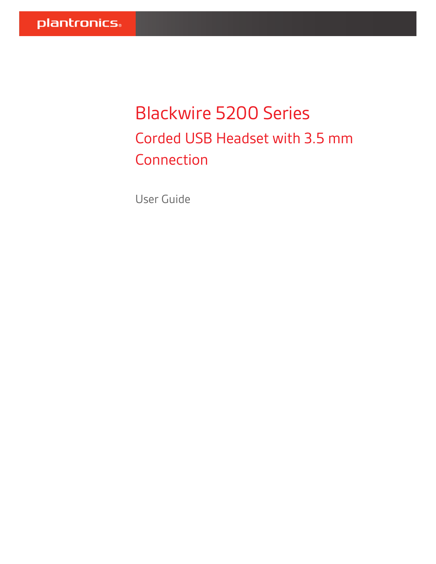# Blackwire 5200 Series Corded USB Headset with 3.5 mm Connection

User Guide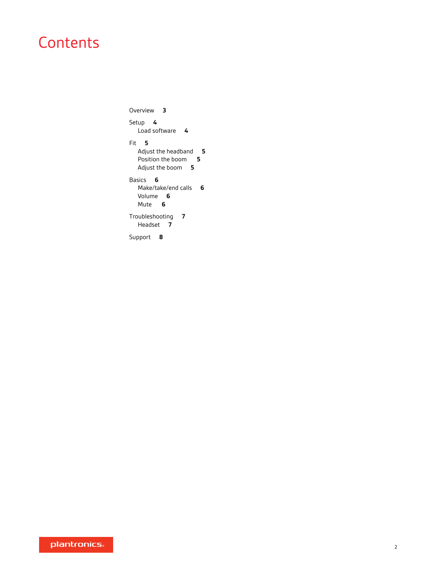# **Contents**

[Overview](#page-2-0) **3** [Setup](#page-3-0) **4** [Load software](#page-3-0) **4** [Fit](#page-4-0) **5** [Adjust the headband](#page-4-0) **5** [Position the boom](#page-4-0) **5** [Adjust the boom](#page-4-0) **5** [Basics](#page-5-0) **6** [Make/take/end calls](#page-5-0) **6** [Volume](#page-5-0) **6** [Mute](#page-5-0) **6** [Troubleshooting](#page-6-0) **7** [Headset](#page-6-0) **7** [Support](#page-7-0) **8**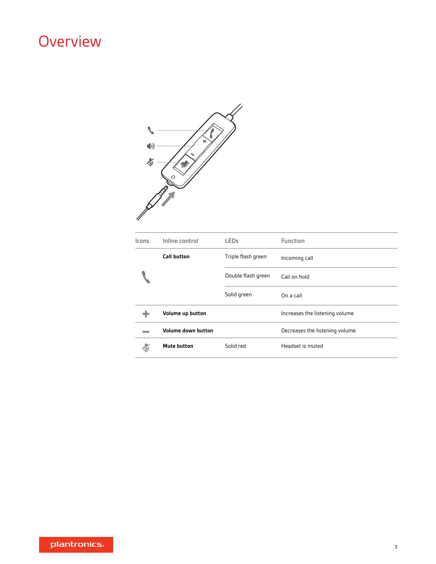# <span id="page-2-0"></span>**Overview**

| $\blacksquare$<br>马 |                    |                    |                                |
|---------------------|--------------------|--------------------|--------------------------------|
| Icons               | Inline control     | LEDs               | Function                       |
|                     | <b>Call button</b> | Triple flash green | Incoming call                  |
|                     |                    | Double flash green | Call on hold                   |
|                     |                    | Solid green        | On a call                      |
| ÷                   | Volume up button   |                    | Increases the listening volume |
|                     | Volume down button |                    | Decreases the listening volume |
|                     | <b>Mute button</b> | Solid red          | Headset is muted               |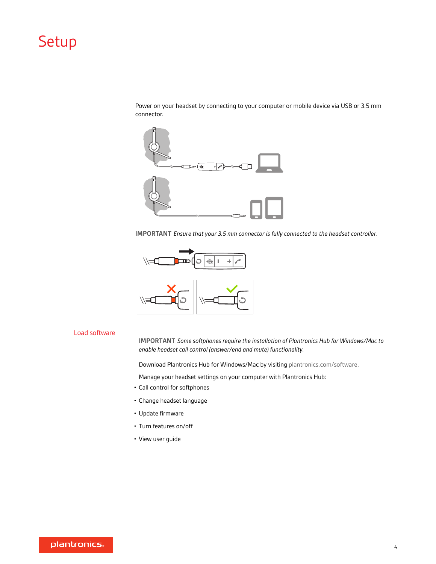# <span id="page-3-0"></span>Setup

Power on your headset by connecting to your computer or mobile device via USB or 3.5 mm connector.



**IMPORTANT** *Ensure that your 3.5 mm connector is fully connected to the headset controller.*



### Load software

**IMPORTANT** *Some softphones require the installation of Plantronics Hub for Windows/Mac to enable headset call control (answer/end and mute) functionality.*

Download Plantronics Hub for Windows/Mac by visiting [plantronics.com/software.](https://www.plantronics.com/software)

Manage your headset settings on your computer with Plantronics Hub:

- Call control for softphones
- Change headset language
- Update firmware
- Turn features on/off
- View user guide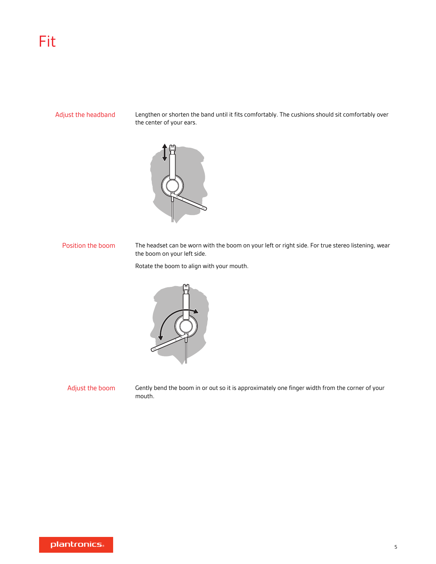### <span id="page-4-0"></span>Adjust the headband

Lengthen or shorten the band until it fits comfortably. The cushions should sit comfortably over the center of your ears.



### Position the boom

The headset can be worn with the boom on your left or right side. For true stereo listening, wear the boom on your left side.

Rotate the boom to align with your mouth.



# Adjust the boom

Gently bend the boom in or out so it is approximately one finger width from the corner of your mouth.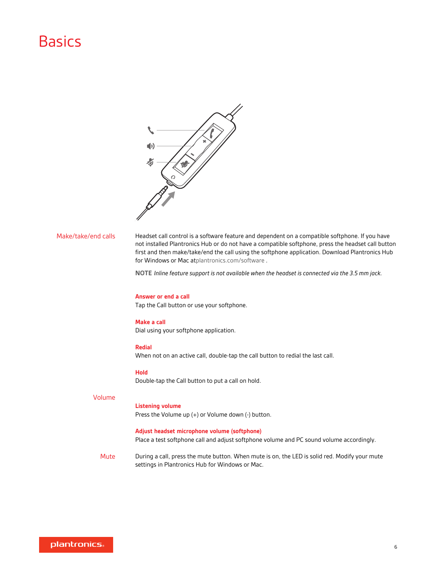# <span id="page-5-0"></span>**Basics**



#### Make/take/end calls

Headset call control is a software feature and dependent on a compatible softphone. If you have not installed Plantronics Hub or do not have a compatible softphone, press the headset call button first and then make/take/end the call using the softphone application. Download Plantronics Hub for Windows or Mac a[tplantronics.com/software](https://www.plantronics.com/software) .

**NOTE** *Inline feature support is not available when the headset is connected via the 3.5 mm jack.*

#### **Answer or end a call**

Tap the Call button or use your softphone.

#### **Make a call**

Dial using your softphone application.

#### **Redial**

When not on an active call, double-tap the call button to redial the last call.

#### **Hold**

Double-tap the Call button to put a call on hold.

### Volume

#### **Listening volume**

Press the Volume up (+) or Volume down (-) button.

#### **Adjust headset microphone volume (softphone)**

Place a test softphone call and adjust softphone volume and PC sound volume accordingly.

During a call, press the mute button. When mute is on, the LED is solid red. Modify your mute settings in Plantronics Hub for Windows or Mac. **Mute**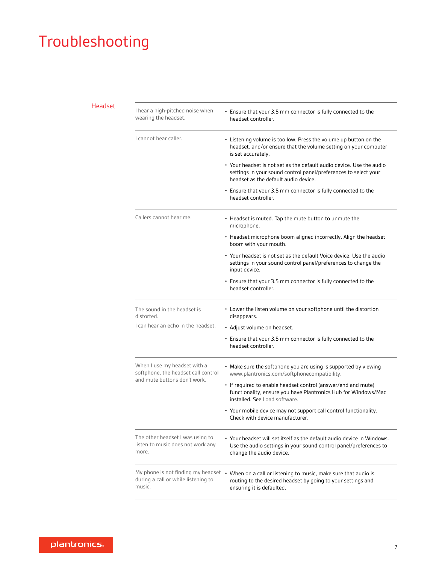# <span id="page-6-0"></span>Troubleshooting

## Headset

| I hear a high-pitched noise when<br>wearing the headset.                              | • Ensure that your 3.5 mm connector is fully connected to the<br>headset controller.                                                                                            |  |  |
|---------------------------------------------------------------------------------------|---------------------------------------------------------------------------------------------------------------------------------------------------------------------------------|--|--|
| I cannot hear caller.                                                                 | • Listening volume is too low. Press the volume up button on the<br>headset. and/or ensure that the volume setting on your computer<br>is set accurately.                       |  |  |
|                                                                                       | • Your headset is not set as the default audio device. Use the audio<br>settings in your sound control panel/preferences to select your<br>headset as the default audio device. |  |  |
|                                                                                       | • Ensure that your 3.5 mm connector is fully connected to the<br>headset controller.                                                                                            |  |  |
| Callers cannot hear me.                                                               | • Headset is muted. Tap the mute button to unmute the<br>microphone.                                                                                                            |  |  |
|                                                                                       | • Headset microphone boom aligned incorrectly. Align the headset<br>boom with your mouth.                                                                                       |  |  |
|                                                                                       | • Your headset is not set as the default Voice device. Use the audio<br>settings in your sound control panel/preferences to change the<br>input device.                         |  |  |
|                                                                                       | • Ensure that your 3.5 mm connector is fully connected to the<br>headset controller.                                                                                            |  |  |
| The sound in the headset is<br>distorted.                                             | • Lower the listen volume on your softphone until the distortion<br>disappears.                                                                                                 |  |  |
| I can hear an echo in the headset.                                                    | · Adjust volume on headset.                                                                                                                                                     |  |  |
|                                                                                       | • Ensure that your 3.5 mm connector is fully connected to the<br>headset controller.                                                                                            |  |  |
| When I use my headset with a<br>softphone, the headset call control                   | • Make sure the softphone you are using is supported by viewing<br>www.plantronics.com/softphonecompatibility.                                                                  |  |  |
| and mute buttons don't work.                                                          | • If required to enable headset control (answer/end and mute)<br>functionality, ensure you have Plantronics Hub for Windows/Mac<br>installed. See Load software.                |  |  |
|                                                                                       | • Your mobile device may not support call control functionality.<br>Check with device manufacturer.                                                                             |  |  |
| The other headset I was using to<br>listen to music does not work any<br>more.        | • Your headset will set itself as the default audio device in Windows.<br>Use the audio settings in your sound control panel/preferences to<br>change the audio device.         |  |  |
| My phone is not finding my headset .<br>during a call or while listening to<br>music. | When on a call or listening to music, make sure that audio is<br>routing to the desired headset by going to your settings and<br>ensuring it is defaulted.                      |  |  |